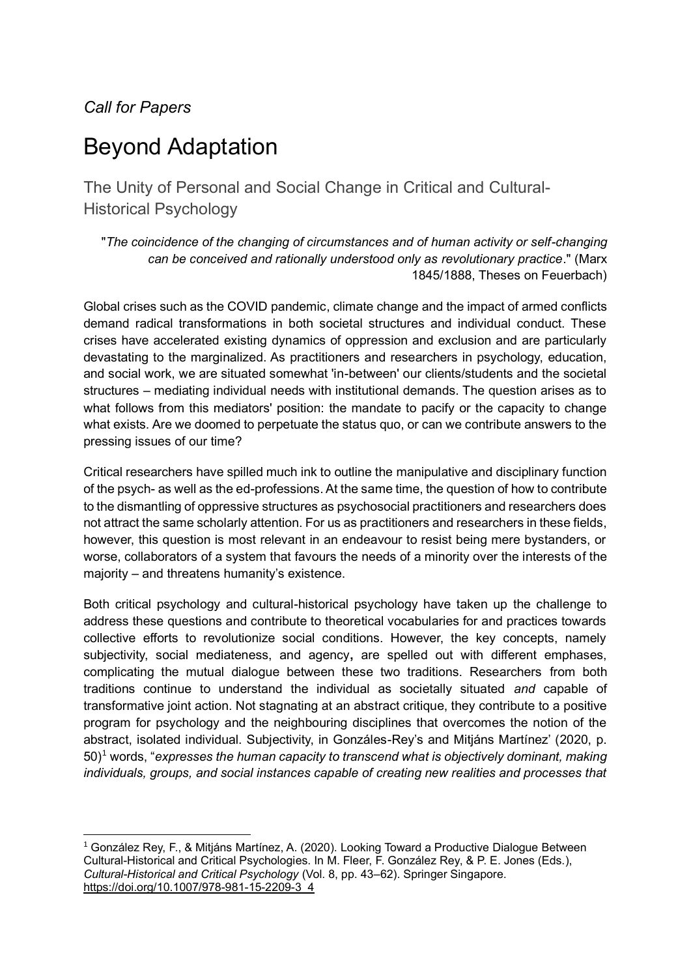## *Call for Papers*

# Beyond Adaptation

The Unity of Personal and Social Change in Critical and Cultural-Historical Psychology

"*The coincidence of the changing of circumstances and of human activity or self-changing can be conceived and rationally understood only as revolutionary practice*." (Marx 1845/1888, Theses on Feuerbach)

Global crises such as the COVID pandemic, climate change and the impact of armed conflicts demand radical transformations in both societal structures and individual conduct. These crises have accelerated existing dynamics of oppression and exclusion and are particularly devastating to the marginalized. As practitioners and researchers in psychology, education, and social work, we are situated somewhat 'in-between' our clients/students and the societal structures – mediating individual needs with institutional demands. The question arises as to what follows from this mediators' position: the mandate to pacify or the capacity to change what exists. Are we doomed to perpetuate the status quo, or can we contribute answers to the pressing issues of our time?

Critical researchers have spilled much ink to outline the manipulative and disciplinary function of the psych- as well as the ed-professions. At the same time, the question of how to contribute to the dismantling of oppressive structures as psychosocial practitioners and researchers does not attract the same scholarly attention. For us as practitioners and researchers in these fields, however, this question is most relevant in an endeavour to resist being mere bystanders, or worse, collaborators of a system that favours the needs of a minority over the interests of the majority – and threatens humanity's existence.

Both critical psychology and cultural-historical psychology have taken up the challenge to address these questions and contribute to theoretical vocabularies for and practices towards collective efforts to revolutionize social conditions. However, the key concepts, namely subjectivity, social mediateness, and agency**,** are spelled out with different emphases, complicating the mutual dialogue between these two traditions. Researchers from both traditions continue to understand the individual as societally situated *and* capable of transformative joint action. Not stagnating at an abstract critique, they contribute to a positive program for psychology and the neighbouring disciplines that overcomes the notion of the abstract, isolated individual. Subjectivity, in Gonzáles-Rey's and Mitjáns Martínez' (2020, p. 50)<sup>1</sup> words, "*expresses the human capacity to transcend what is objectively dominant, making individuals, groups, and social instances capable of creating new realities and processes that* 

<sup>1</sup> González Rey, F., & Mitjáns Martínez, A. (2020). Looking Toward a Productive Dialogue Between Cultural-Historical and Critical Psychologies. In M. Fleer, F. González Rey, & P. E. Jones (Eds.), *Cultural-Historical and Critical Psychology* (Vol. 8, pp. 43–62). Springer Singapore. https://doi.org/10.1007/978-981-15-2209-3\_4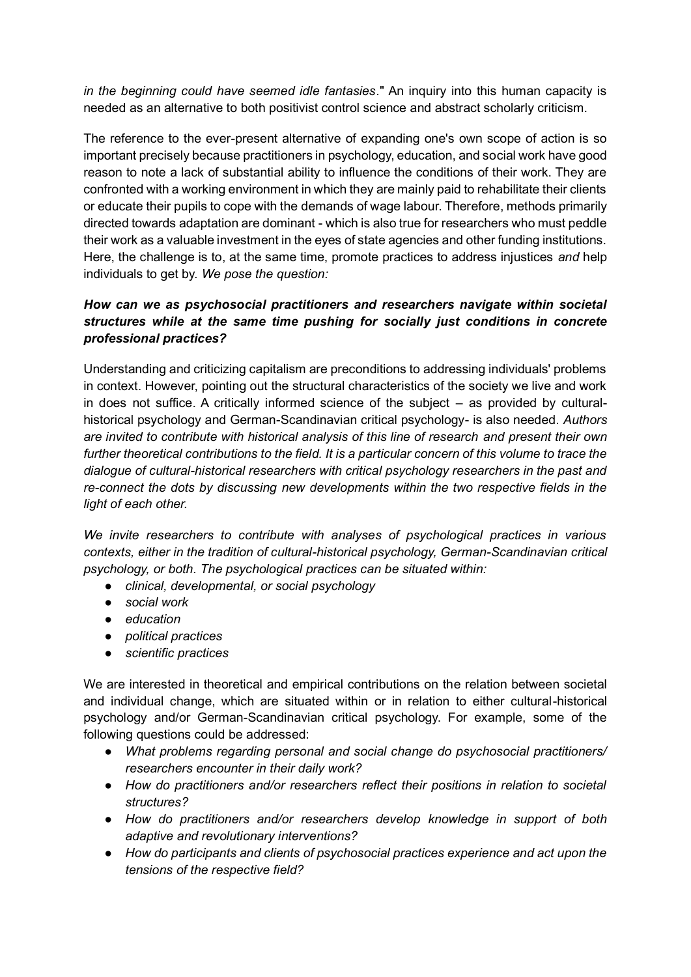*in the beginning could have seemed idle fantasies*." An inquiry into this human capacity is needed as an alternative to both positivist control science and abstract scholarly criticism.

The reference to the ever-present alternative of expanding one's own scope of action is so important precisely because practitioners in psychology, education, and social work have good reason to note a lack of substantial ability to influence the conditions of their work. They are confronted with a working environment in which they are mainly paid to rehabilitate their clients or educate their pupils to cope with the demands of wage labour. Therefore, methods primarily directed towards adaptation are dominant - which is also true for researchers who must peddle their work as a valuable investment in the eyes of state agencies and other funding institutions. Here, the challenge is to, at the same time, promote practices to address injustices *and* help individuals to get by. *We pose the question:*

### *How can we as psychosocial practitioners and researchers navigate within societal structures while at the same time pushing for socially just conditions in concrete professional practices?*

Understanding and criticizing capitalism are preconditions to addressing individuals' problems in context. However, pointing out the structural characteristics of the society we live and work in does not suffice. A critically informed science of the subject – as provided by culturalhistorical psychology and German-Scandinavian critical psychology- is also needed. *Authors are invited to contribute with historical analysis of this line of research and present their own further theoretical contributions to the field. It is a particular concern of this volume to trace the dialogue of cultural-historical researchers with critical psychology researchers in the past and re-connect the dots by discussing new developments within the two respective fields in the light of each other.*

*We invite researchers to contribute with analyses of psychological practices in various contexts, either in the tradition of cultural-historical psychology, German-Scandinavian critical psychology, or both. The psychological practices can be situated within:*

- *clinical, developmental, or social psychology*
- *social work*
- *education*
- *political practices*
- *scientific practices*

We are interested in theoretical and empirical contributions on the relation between societal and individual change, which are situated within or in relation to either cultural-historical psychology and/or German-Scandinavian critical psychology. For example, some of the following questions could be addressed:

- *What problems regarding personal and social change do psychosocial practitioners/ researchers encounter in their daily work?*
- *How do practitioners and/or researchers reflect their positions in relation to societal structures?*
- *How do practitioners and/or researchers develop knowledge in support of both adaptive and revolutionary interventions?*
- *How do participants and clients of psychosocial practices experience and act upon the tensions of the respective field?*